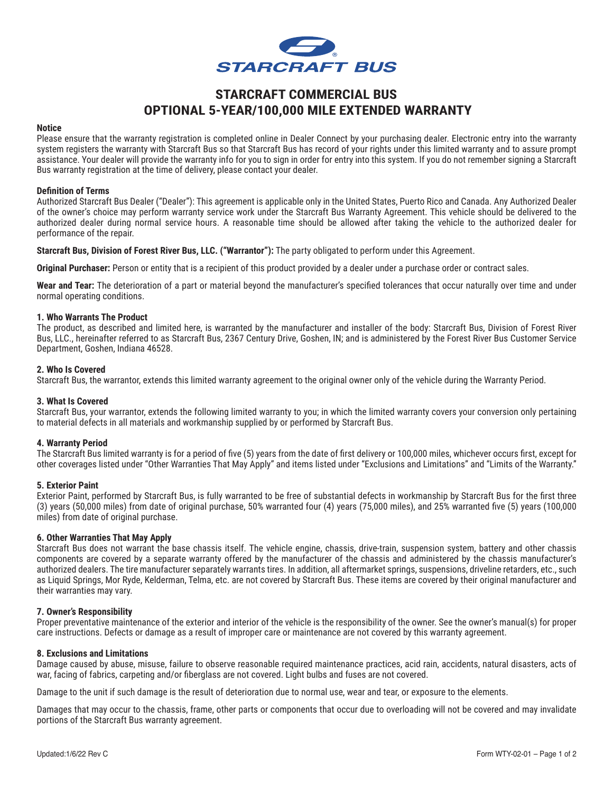

# **STARCRAFT COMMERCIAL BUS OPTIONAL 5-YEAR/100,000 MILE EXTENDED WARRANTY**

#### **Notice**

Please ensure that the warranty registration is completed online in Dealer Connect by your purchasing dealer. Electronic entry into the warranty system registers the warranty with Starcraft Bus so that Starcraft Bus has record of your rights under this limited warranty and to assure prompt assistance. Your dealer will provide the warranty info for you to sign in order for entry into this system. If you do not remember signing a Starcraft Bus warranty registration at the time of delivery, please contact your dealer.

#### **Definition of Terms**

Authorized Starcraft Bus Dealer ("Dealer"): This agreement is applicable only in the United States, Puerto Rico and Canada. Any Authorized Dealer of the owner's choice may perform warranty service work under the Starcraft Bus Warranty Agreement. This vehicle should be delivered to the authorized dealer during normal service hours. A reasonable time should be allowed after taking the vehicle to the authorized dealer for performance of the repair.

**Starcraft Bus, Division of Forest River Bus, LLC. ("Warrantor"):** The party obligated to perform under this Agreement.

**Original Purchaser:** Person or entity that is a recipient of this product provided by a dealer under a purchase order or contract sales.

**Wear and Tear:** The deterioration of a part or material beyond the manufacturer's specified tolerances that occur naturally over time and under normal operating conditions.

## **1. Who Warrants The Product**

The product, as described and limited here, is warranted by the manufacturer and installer of the body: Starcraft Bus, Division of Forest River Bus, LLC., hereinafter referred to as Starcraft Bus, 2367 Century Drive, Goshen, IN; and is administered by the Forest River Bus Customer Service Department, Goshen, Indiana 46528.

## **2. Who Is Covered**

Starcraft Bus, the warrantor, extends this limited warranty agreement to the original owner only of the vehicle during the Warranty Period.

## **3. What Is Covered**

Starcraft Bus, your warrantor, extends the following limited warranty to you; in which the limited warranty covers your conversion only pertaining to material defects in all materials and workmanship supplied by or performed by Starcraft Bus.

#### **4. Warranty Period**

The Starcraft Bus limited warranty is for a period of five (5) years from the date of first delivery or 100,000 miles, whichever occurs first, except for other coverages listed under "Other Warranties That May Apply" and items listed under "Exclusions and Limitations" and "Limits of the Warranty."

# **5. Exterior Paint**

Exterior Paint, performed by Starcraft Bus, is fully warranted to be free of substantial defects in workmanship by Starcraft Bus for the first three (3) years (50,000 miles) from date of original purchase, 50% warranted four (4) years (75,000 miles), and 25% warranted five (5) years (100,000 miles) from date of original purchase.

#### **6. Other Warranties That May Apply**

Starcraft Bus does not warrant the base chassis itself. The vehicle engine, chassis, drive-train, suspension system, battery and other chassis components are covered by a separate warranty offered by the manufacturer of the chassis and administered by the chassis manufacturer's authorized dealers. The tire manufacturer separately warrants tires. In addition, all aftermarket springs, suspensions, driveline retarders, etc., such as Liquid Springs, Mor Ryde, Kelderman, Telma, etc. are not covered by Starcraft Bus. These items are covered by their original manufacturer and their warranties may vary.

#### **7. Owner's Responsibility**

Proper preventative maintenance of the exterior and interior of the vehicle is the responsibility of the owner. See the owner's manual(s) for proper care instructions. Defects or damage as a result of improper care or maintenance are not covered by this warranty agreement.

#### **8. Exclusions and Limitations**

Damage caused by abuse, misuse, failure to observe reasonable required maintenance practices, acid rain, accidents, natural disasters, acts of war, facing of fabrics, carpeting and/or fiberglass are not covered. Light bulbs and fuses are not covered.

Damage to the unit if such damage is the result of deterioration due to normal use, wear and tear, or exposure to the elements.

Damages that may occur to the chassis, frame, other parts or components that occur due to overloading will not be covered and may invalidate portions of the Starcraft Bus warranty agreement.